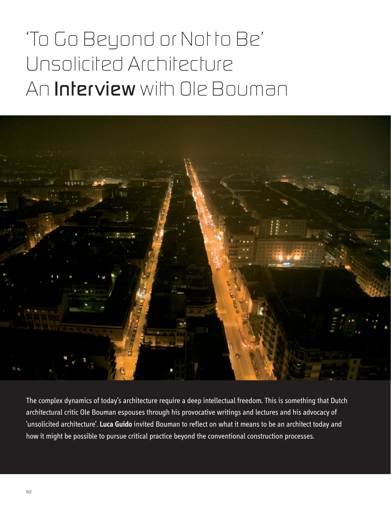## *'To Go Beyond or Not to Be' Unsolicited Architecture An Interview with Ole Bouman*



The complex dynamics of today's architecture require a deep intellectual freedom. This is something that Dutch architectural critic Ole Bouman espouses through his provocative writings and lectures and his advocacy of 'unsolicited architecture'. **Luca Guido** invited Bouman to reflect on what it means to be an architect today and how it might be possible to pursue critical practice beyond the conventional construction processes.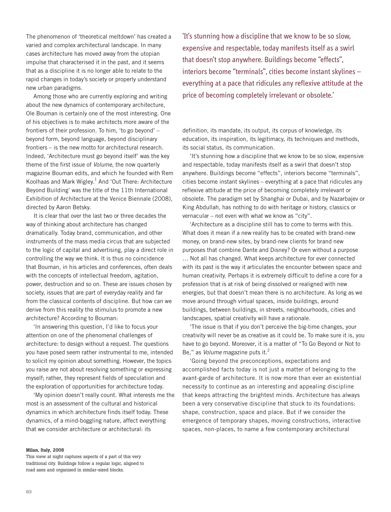The phenomenon of 'theoretical meltdown' has created a varied and complex architectural landscape. In many cases architecture has moved away from the utopian impulse that characterised it in the past, and it seems that as a discipline it is no longer able to relate to the rapid changes in today's society or properly understand new urban paradigms.

Among those who are currently exploring and writing about the new dynamics of contemporary architecture, Ole Bouman is certainly one of the most interesting. One of his objectives is to make architects more aware of the frontiers of their profession. To him, 'to go beyond' – beyond form, beyond language, beyond disciplinary frontiers – is the new motto for architectural research. Indeed, 'Architecture must go beyond itself' was the key theme of the first issue of *Volume*, the now quarterly magazine Bouman edits, and which he founded with Rem Koolhaas and Mark Wigley. $<sup>1</sup>$  And 'Out There: Architecture</sup> Beyond Building' was the title of the 11th International Exhibition of Architecture at the Venice Biennale (2008), directed by Aaron Betsky.

It is clear that over the last two or three decades the way of thinking about architecture has changed dramatically. Today brand, communication, and other instruments of the mass media circus that are subjected to the logic of capital and advertising, play a direct role in controlling the way we think. It is thus no coincidence that Bouman, in his articles and conferences, often deals with the concepts of intellectual freedom, agitation, power, destruction and so on. These are issues chosen by society, issues that are part of everyday reality and far from the classical contents of discipline. But how can we derive from this reality the stimulus to promote a new architecture? According to Bouman:

'In answering this question, I'd like to focus your attention on one of the phenomenal challenges of architecture: to design without a request. The questions you have posed seem rather instrumental to me, intended to solicit my opinion about something. However, the topics you raise are not about resolving something or expressing myself; rather, they represent fields of speculation and the exploration of opportunities for architecture today.

'My opinion doesn't really count. What interests me the most is an assessment of the cultural and historical dynamics in which architecture finds itself today. These dynamics, of a mind-boggling nature, affect everything that we consider architecture or architectural: its

'It's stunning how a discipline that we know to be so slow, expensive and respectable, today manifests itself as a swirl that doesn't stop anywhere. Buildings become "effects", interiors become "terminals", cities become instant skylines – everything at a pace that ridicules any reflexive attitude at the price of becoming completely irrelevant or obsolete.'

definition, its mandate, its output, its corpus of knowledge, its education, its inspiration, its legitimacy, its techniques and methods, its social status, its communication.

'It's stunning how a discipline that we know to be so slow, expensive and respectable, today manifests itself as a swirl that doesn't stop anywhere. Buildings become "effects", interiors become "terminals", cities become instant skylines – everything at a pace that ridicules any reflexive attitude at the price of becoming completely irrelevant or obsolete. The paradigm set by Shanghai or Dubai, and by Nazarbajev or King Abdullah, has nothing to do with heritage or history, classics or vernacular – not even with what we know as "city".

'Architecture as a discipline still has to come to terms with this. What does it mean if a new reality has to be created with brand-new money, on brand-new sites, by brand-new clients for brand new purposes that combine Dante and Disney? Or even without a purpose … Not all has changed. What keeps architecture for ever connected with its past is the way it articulates the encounter between space and human creativity. Perhaps it is extremely difficult to define a core for a profession that is at risk of being dissolved or realigned with new energies, but that doesn't mean there is no architecture. As long as we move around through virtual spaces, inside buildings, around buildings, between buildings, in streets, neighbourhoods, cities and landscapes, spatial creativity will have a rationale.

'The issue is that if you don't perceive the big-time changes, your creativity will never be as creative as it could be. To make sure it is, you have to go beyond. Moreover, it is a matter of "To Go Beyond or Not to Be," as *Volume* magazine puts it.<sup>2</sup>

'Going beyond the preconceptions, expectations and accomplished facts today is not just a matter of belonging to the avant-garde of architecture. It is now more than ever an existential necessity to continue as an interesting and appealing discipline that keeps attracting the brightest minds. Architecture has always been a very conservative discipline that stuck to its foundations: shape, construction, space and place. But if we consider the emergence of temporary shapes, moving constructions, interactive spaces, non-places, to name a few contemporary architectural

## **Milan, Italy, 2008**

This view at night captures aspects of a part of this very traditional city. Buildings follow a regular logic, aligned to road axes and organised in similar-sized blocks.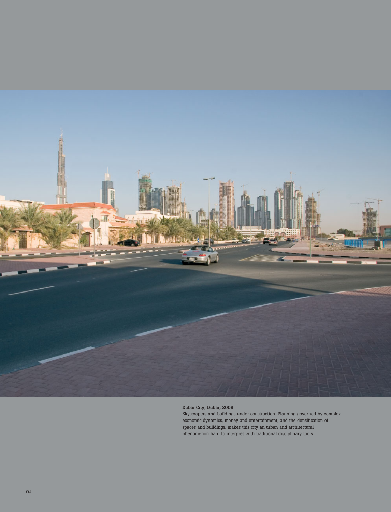

## **Dubai City, Dubai, 2008**

Skyscrapers and buildings under construction. Planning governed by complex economic dynamics, money and entertainment, and the densification of spaces and buildings, makes this city an urban and architectural phenomenon hard to interpret with traditional disciplinary tools.